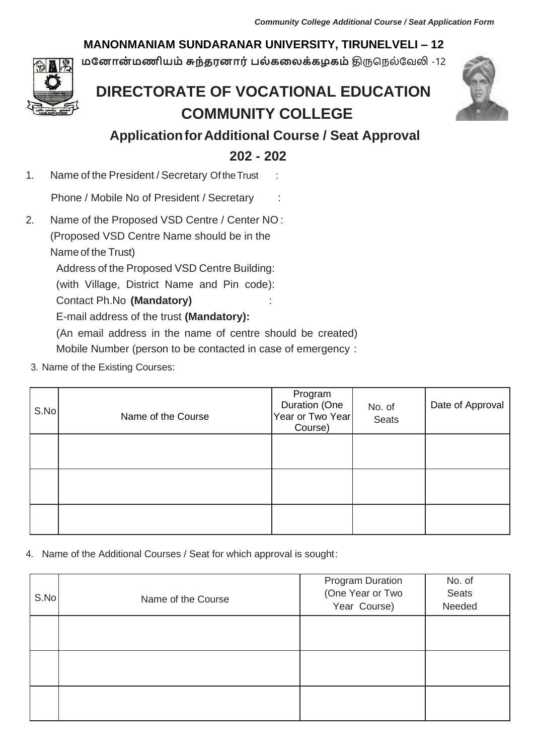### **MANONMANIAM SUNDARANAR UNIVERSITY, TIRUNELVELI – 12**



**மனனோன் மணியம் சுந்தரனோர்பல்கலலக்கழகம்** திருநெல்வேலி -12

# **DIRECTORATE OF VOCATIONAL EDUCATION COMMUNITY COLLEGE**



# **ApplicationforAdditional Course / Seat Approval**

### **202 - 202**

1. Name of the President / Secretary Of the Trust

Phone / Mobile No of President / Secretary :

2. Name of the Proposed VSD Centre / Center NO : (Proposed VSD Centre Name should be in the Name of the Trust) Address of the Proposed VSD Centre Building: (with Village, District Name and Pin code):

Contact Ph.No **(Mandatory)** :

E-mail address of the trust **(Mandatory):**

(An email address in the name of centre should be created)

Mobile Number (person to be contacted in case of emergency :

3. Name of the Existing Courses:

| S.No | Name of the Course | Program<br>Duration (One<br>Year or Two Year<br>Course) | No. of<br>Seats | Date of Approval |
|------|--------------------|---------------------------------------------------------|-----------------|------------------|
|      |                    |                                                         |                 |                  |
|      |                    |                                                         |                 |                  |
|      |                    |                                                         |                 |                  |

4. Name of the Additional Courses / Seat for which approval is sought:

| S.No | Name of the Course | <b>Program Duration</b><br>(One Year or Two<br>Year Course) | No. of<br><b>Seats</b><br>Needed |
|------|--------------------|-------------------------------------------------------------|----------------------------------|
|      |                    |                                                             |                                  |
|      |                    |                                                             |                                  |
|      |                    |                                                             |                                  |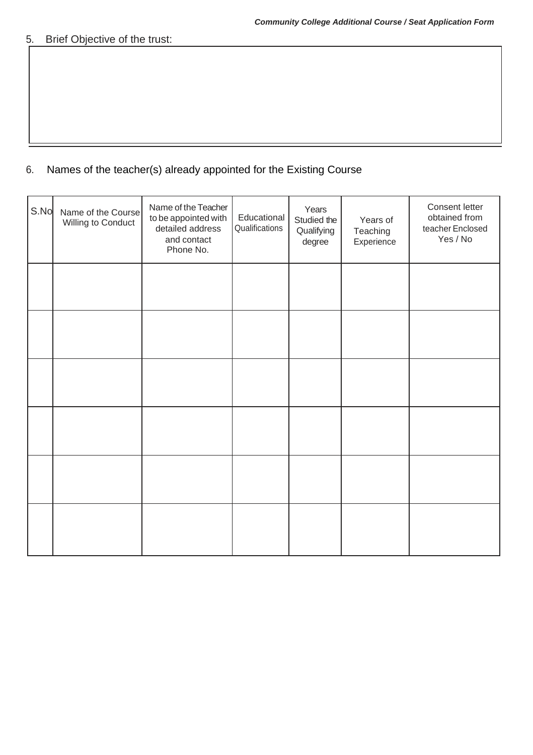## 5. Brief Objective of the trust:

## 6. Names of the teacher(s) already appointed for the Existing Course

| S.No | Name of the Course<br>Willing to Conduct | Name of the Teacher<br>to be appointed with<br>detailed address<br>and contact<br>Phone No. | Educational<br>Qualifications | Years<br>Studied the<br>Qualifying<br>degree | Years of<br>Teaching<br>Experience | Consent letter<br>obtained from<br>teacher Enclosed<br>Yes / No |
|------|------------------------------------------|---------------------------------------------------------------------------------------------|-------------------------------|----------------------------------------------|------------------------------------|-----------------------------------------------------------------|
|      |                                          |                                                                                             |                               |                                              |                                    |                                                                 |
|      |                                          |                                                                                             |                               |                                              |                                    |                                                                 |
|      |                                          |                                                                                             |                               |                                              |                                    |                                                                 |
|      |                                          |                                                                                             |                               |                                              |                                    |                                                                 |
|      |                                          |                                                                                             |                               |                                              |                                    |                                                                 |
|      |                                          |                                                                                             |                               |                                              |                                    |                                                                 |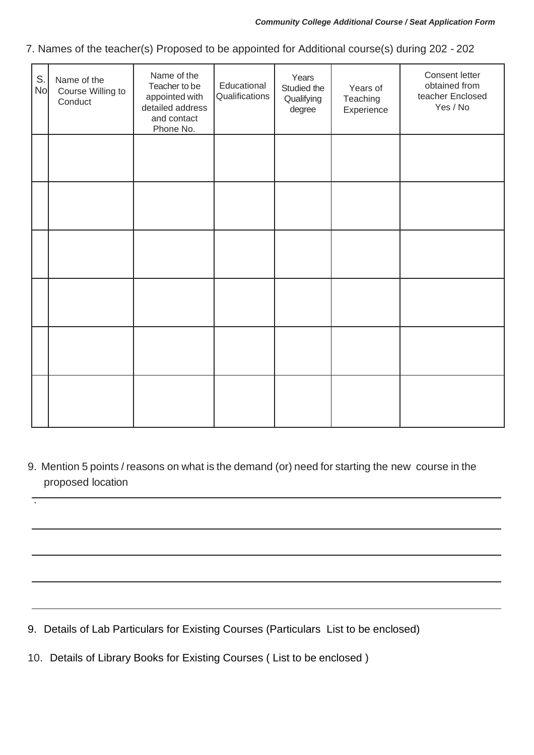7. Names of the teacher(s) Proposed to be appointed for Additional course(s) during 202 - 202

| S.<br><b>No</b> | Name of the<br>Course Willing to<br>Conduct | Name of the<br>Teacher to be<br>appointed with<br>detailed address<br>and contact<br>Phone No. | Educational<br>Qualifications | Years<br>Studied the<br>Qualifying<br>degree | Years of<br>Teaching<br>Experience | Consent letter<br>obtained from<br>teacher Enclosed<br>Yes / No |
|-----------------|---------------------------------------------|------------------------------------------------------------------------------------------------|-------------------------------|----------------------------------------------|------------------------------------|-----------------------------------------------------------------|
|                 |                                             |                                                                                                |                               |                                              |                                    |                                                                 |
|                 |                                             |                                                                                                |                               |                                              |                                    |                                                                 |
|                 |                                             |                                                                                                |                               |                                              |                                    |                                                                 |
|                 |                                             |                                                                                                |                               |                                              |                                    |                                                                 |
|                 |                                             |                                                                                                |                               |                                              |                                    |                                                                 |
|                 |                                             |                                                                                                |                               |                                              |                                    |                                                                 |

9. Mention 5 points / reasons on what is the demand (or) need for starting the new course in the proposed location

9. Details of Lab Particulars for Existing Courses (Particulars List to be enclosed)

10. Details of Library Books for Existing Courses ( List to be enclosed )

.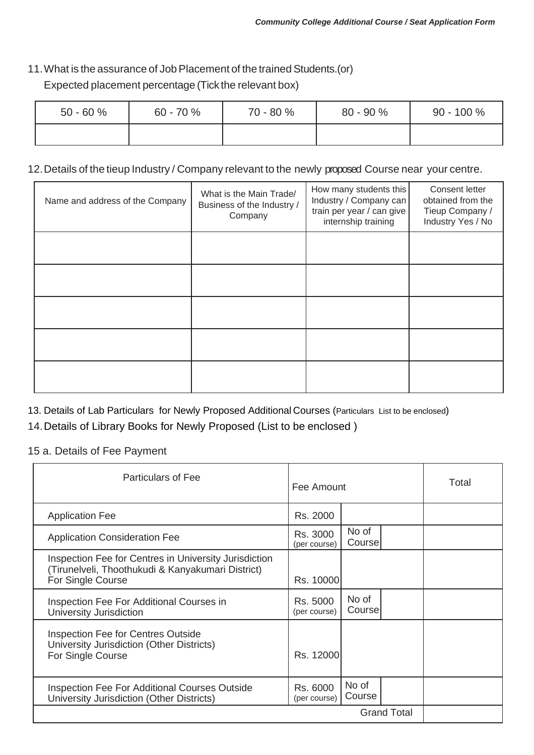#### 11. What is the assurance of Job Placement of the trained Students.(or) Expected placement percentage (Tick the relevant box)

| $50$ - $60\ \%$ | $60 - 70 \%$ | 70 - 80 % | $80 - 90 %$ | $90 - 100 \%$ |
|-----------------|--------------|-----------|-------------|---------------|
|                 |              |           |             |               |

#### 12.Details of the tieup Industry / Company relevant to the newly proposed Course near your centre.

| Name and address of the Company | What is the Main Trade/<br>Business of the Industry /<br>Company | How many students this<br>Industry / Company can<br>train per year / can give<br>internship training | Consent letter<br>obtained from the<br>Tieup Company /<br>Industry Yes / No |
|---------------------------------|------------------------------------------------------------------|------------------------------------------------------------------------------------------------------|-----------------------------------------------------------------------------|
|                                 |                                                                  |                                                                                                      |                                                                             |
|                                 |                                                                  |                                                                                                      |                                                                             |
|                                 |                                                                  |                                                                                                      |                                                                             |
|                                 |                                                                  |                                                                                                      |                                                                             |
|                                 |                                                                  |                                                                                                      |                                                                             |

13. Details of Lab Particulars for Newly Proposed Additional Courses (Particulars List to be enclosed)

14.Details of Library Books for Newly Proposed (List to be enclosed )

15 a. Details of Fee Payment

| <b>Particulars of Fee</b><br>Fee Amount                                                                                         |                          | Total              |  |
|---------------------------------------------------------------------------------------------------------------------------------|--------------------------|--------------------|--|
| <b>Application Fee</b>                                                                                                          | Rs. 2000                 |                    |  |
| <b>Application Consideration Fee</b>                                                                                            | Rs. 3000<br>(per course) | No of<br>Course    |  |
| Inspection Fee for Centres in University Jurisdiction<br>(Tirunelveli, Thoothukudi & Kanyakumari District)<br>For Single Course | Rs. 10000                |                    |  |
| Inspection Fee For Additional Courses in<br>University Jurisdiction                                                             | Rs. 5000<br>(per course) | No of<br>Course    |  |
| Inspection Fee for Centres Outside<br>University Jurisdiction (Other Districts)<br>For Single Course                            | Rs. 12000                |                    |  |
| <b>Inspection Fee For Additional Courses Outside</b><br>University Jurisdiction (Other Districts)                               | Rs. 6000<br>(per course) | No of<br>Course    |  |
|                                                                                                                                 |                          | <b>Grand Total</b> |  |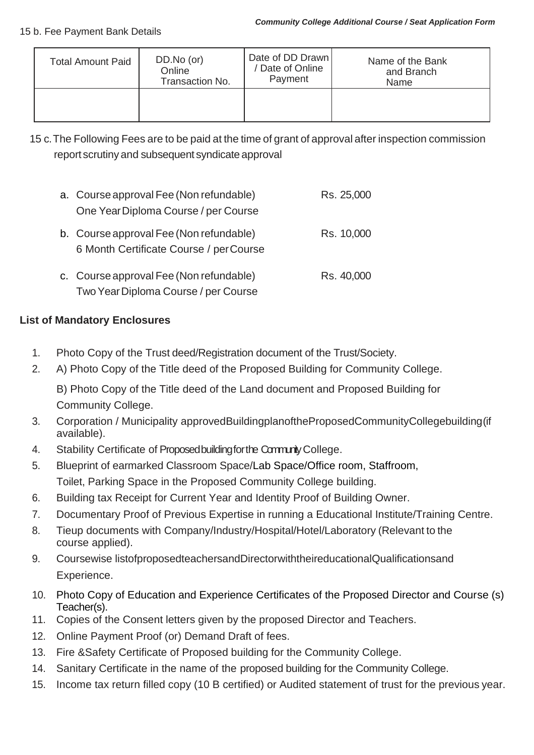| <b>Total Amount Paid</b> | DD.No (or)<br>Online<br>Transaction No. | Date of DD Drawn<br>/ Date of Online<br>Payment | Name of the Bank<br>and Branch<br>Name |
|--------------------------|-----------------------------------------|-------------------------------------------------|----------------------------------------|
|                          |                                         |                                                 |                                        |

- 15 c.The Following Fees are to be paid at the time of grant of approval after inspection commission report scrutiny and subsequent syndicate approval
	- a. Course approval Fee (Non refundable) Rs. 25,000 One Year Diploma Course / per Course b. Course approval Fee (Non refundable) Rs. 10,000 6 Month Certificate Course / perCourse c. Course approval Fee (Non refundable) Rs. 40,000 Two Year Diploma Course / per Course

#### **List of Mandatory Enclosures**

- 1. Photo Copy of the Trust deed/Registration document of the Trust/Society.
- 2. A) Photo Copy of the Title deed of the Proposed Building for Community College.

B) Photo Copy of the Title deed of the Land document and Proposed Building for Community College.

- 3. Corporation / Municipality approvedBuildingplanoftheProposedCommunityCollegebuilding(if available).
- 4. Stability Certificate of Proposedbuilding for the Community College.
- 5. Blueprint of earmarked Classroom Space/Lab Space/Office room, Staffroom, Toilet, Parking Space in the Proposed Community College building.
- 6. Building tax Receipt for Current Year and Identity Proof of Building Owner.
- 7. Documentary Proof of Previous Expertise in running a Educational Institute/Training Centre.
- 8. Tieup documents with Company/Industry/Hospital/Hotel/Laboratory (Relevant to the course applied).
- 9. Coursewise listofproposedteachersandDirectorwiththeireducationalQualificationsand Experience.
- 10. Photo Copy of Education and Experience Certificates of the Proposed Director and Course (s) Teacher(s).
- 11. Copies of the Consent letters given by the proposed Director and Teachers.
- 12. Online Payment Proof (or) Demand Draft of fees.
- 13. Fire &Safety Certificate of Proposed building for the Community College.
- 14. Sanitary Certificate in the name of the proposed building for the Community College.
- 15. Income tax return filled copy (10 B certified) or Audited statement of trust for the previous year.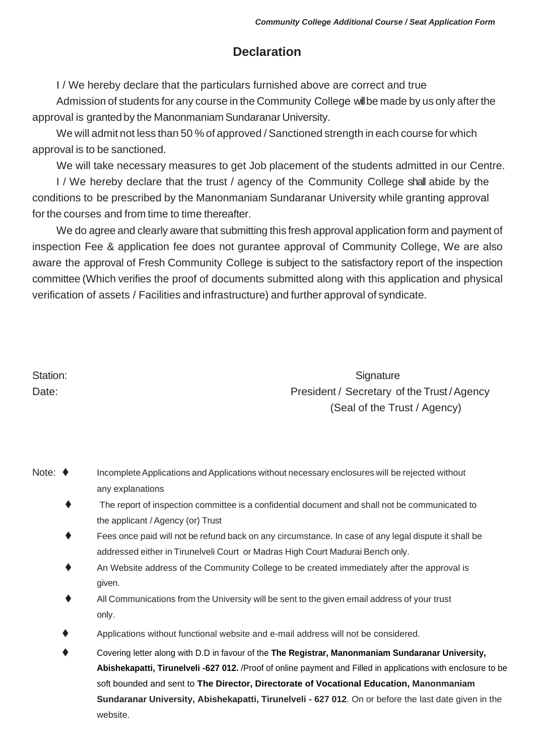### **Declaration**

I / We hereby declare that the particulars furnished above are correct and true

Admission of students for any course in the Community College willbe made by us only after the approval is granted by the Manonmaniam Sundaranar University.

We will admit not less than 50 % of approved / Sanctioned strength in each course for which approval is to be sanctioned.

We will take necessary measures to get Job placement of the students admitted in our Centre.

I / We hereby declare that the trust / agency of the Community College shall abide by the conditions to be prescribed by the Manonmaniam Sundaranar University while granting approval for the courses and from time to time thereafter.

We do agree and clearly aware that submitting this fresh approval application form and payment of inspection Fee & application fee does not gurantee approval of Community College, We are also aware the approval of Fresh Community College is subject to the satisfactory report of the inspection committee (Which verifies the proof of documents submitted along with this application and physical verification of assets / Facilities and infrastructure) and further approval of syndicate.

Station: Station: Station: Station: Station: Station: Station: Station: Station: Station: Station: Station: Station: Station: Station: Station: Station: Station: Station: Station: Station: Station: Station: Station: Statio Date: Date: President / Secretary of the Trust / Agency (Seal of the Trust / Agency)

Note: ♦ Incomplete Applications and Applications without necessary enclosures will be rejected without any explanations

- ⧫ The report of inspection committee is a confidential document and shall not be communicated to the applicant / Agency (or) Trust
- ⧫ Fees once paid will not be refund back on any circumstance. In case of any legal dispute it shall be addressed either in Tirunelveli Court or Madras High Court Madurai Bench only.
- An Website address of the Community College to be created immediately after the approval is given.
- All Communications from the University will be sent to the given email address of your trust only.
- Applications without functional website and e-mail address will not be considered.
- ⧫ Covering letter along with D.D in favour of the **The Registrar, Manonmaniam Sundaranar University, Abishekapatti, Tirunelveli -627 012.** /Proof of online payment and Filled in applications with enclosure to be soft bounded and sent to **The Director, Directorate of Vocational Education, Manonmaniam Sundaranar University, Abishekapatti, Tirunelveli - 627 012**. On or before the last date given in the website.